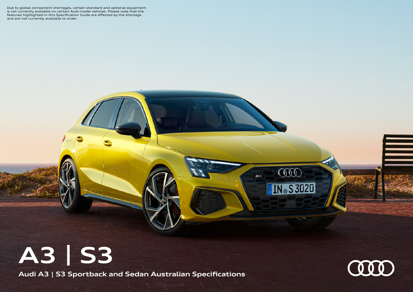Due to global component shortages, certain standard and optional equipment is not currently available on certain Audi model vehicles. Please note that the features highlighted in this Specification Guide are affected by the shortage and are not currently available to order.

## **A3 | S3**

**Audi A3 | S3 Sportback and Sedan Australian Specifications**



COO

**N** S3020

**S3** 

═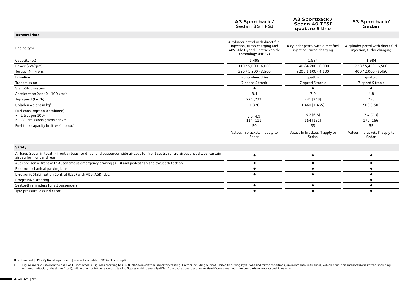|                                                                                                                                                                    | A3 Sportback /<br>Sedan 35 TFSI                                                                                              | A3 Sportback /<br>Sedan 40 TFSI<br>quattro S line               | S3 Sportback/<br>Sedan                                          |
|--------------------------------------------------------------------------------------------------------------------------------------------------------------------|------------------------------------------------------------------------------------------------------------------------------|-----------------------------------------------------------------|-----------------------------------------------------------------|
| <b>Technical data</b>                                                                                                                                              |                                                                                                                              |                                                                 |                                                                 |
| Engine type                                                                                                                                                        | 4-cylinder petrol with direct fuel<br>injection, turbo-charging and<br>48V Mild Hybrid Electric Vehicle<br>technology (MHEV) | 4-cylinder petrol with direct fuel<br>injection, turbo-charging | 4-cylinder petrol with direct fuel<br>injection, turbo-charging |
| Capacity (cc)                                                                                                                                                      | 1,498                                                                                                                        | 1,984                                                           | 1,984                                                           |
| Power (kW/rpm)                                                                                                                                                     | 110 / 5,000 - 6,000                                                                                                          | 140 / 4,200 - 6,000                                             | 228 / 5,450 - 6,500                                             |
| Torque (Nm/rpm)                                                                                                                                                    | 250 / 1,500 - 3,500                                                                                                          | 320 / 1,500 - 4,100                                             | 400 / 2,000 - 5,450                                             |
| Driveline                                                                                                                                                          | Front-wheel drive                                                                                                            | quattro                                                         | quattro                                                         |
| Transmission                                                                                                                                                       | 7-speed S tronic                                                                                                             | 7-speed S tronic                                                | 7-speed S tronic                                                |
| Start-Stop system                                                                                                                                                  |                                                                                                                              | $\bullet$                                                       | $\bullet$                                                       |
| Acceleration (sec) 0 - 100 km/h                                                                                                                                    | 8.4                                                                                                                          | 7.0                                                             | 4.8                                                             |
| Top speed (km/h)                                                                                                                                                   | 224 [232]                                                                                                                    | 241 [248]                                                       | 250                                                             |
| Unladen weight in kg <sup>1</sup>                                                                                                                                  | 1,320                                                                                                                        | 1,460 [1,465]                                                   | 1500 [1505]                                                     |
| Fuel consumption (combined)<br>$\blacktriangleright$ Litres per 100km <sup><math>\triangle</math></sup><br>$\triangleright$ CO <sub>2</sub> emissions grams per km | 5.0 [4.9]<br>114 [111]                                                                                                       | 6.7[6.6]<br>154 [151]                                           | 7.4 [7.3]<br>170 [166]                                          |
| Fuel tank capacity in litres (approx.)                                                                                                                             | 50                                                                                                                           | 55                                                              | 55                                                              |
|                                                                                                                                                                    | Values in brackets [] apply to<br>Sedan                                                                                      | Values in brackets [] apply to<br>Sedan                         | Values in brackets [] apply to<br>Sedan                         |
| Safety                                                                                                                                                             |                                                                                                                              |                                                                 |                                                                 |
| Airbags (seven in total) - front airbags for driver and passenger, side airbags for front seats, centre airbag, head level curtain<br>airbag for front and rear    |                                                                                                                              | $\bullet$                                                       | $\bullet$                                                       |
| Audi pre-sense front with Autonomous emergency braking (AEB) and pedestrian and cyclist detection                                                                  |                                                                                                                              | $\bullet$                                                       | $\bullet$                                                       |
| Electromechanical parking brake                                                                                                                                    |                                                                                                                              |                                                                 | ٠                                                               |
| Electronic Stabilisation Control (ESC) with ABS, ASR, EDL                                                                                                          |                                                                                                                              | $\bullet$                                                       |                                                                 |
| Progressive steering                                                                                                                                               |                                                                                                                              |                                                                 |                                                                 |
| Seatbelt reminders for all passengers                                                                                                                              | $\bullet$                                                                                                                    | $\bullet$                                                       |                                                                 |

Tyre pressure loss indicator  $\bullet$ 

 $\bullet$  = Standard |  $\Box$  = Optional equipment | - = Not available | NCO = No cost option

△ Figure are calculated on the basis of 19 inch wheels. Figures according to ADR 81/02 derived from laboratory testing. Factors including but not limited to driving style, road and traffic conditions, environmental influe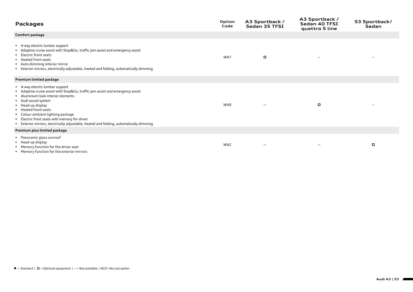| <b>Packages</b>                                                                                                                                                                                                                                                                                                                                                                                                       | Option<br>Code | A3 Sportback /<br>Sedan 35 TFSI | A3 Sportback /<br>Sedan 40 TFSI<br>quattro S line | S3 Sportback/<br>Sedan |
|-----------------------------------------------------------------------------------------------------------------------------------------------------------------------------------------------------------------------------------------------------------------------------------------------------------------------------------------------------------------------------------------------------------------------|----------------|---------------------------------|---------------------------------------------------|------------------------|
| Comfort package                                                                                                                                                                                                                                                                                                                                                                                                       |                |                                 |                                                   |                        |
| ▶ 4-way electric lumbar support<br>Adaptive cruise assist with Stop&Go, traffic jam assist and emergency assist<br>Electric front seats<br>▶ Heated front seats<br>Auto-dimming interior mirror<br>Exterior mirrors, electrically adjustable, heated and folding, automatically dimming                                                                                                                               | WA7            | $\Box$                          |                                                   |                        |
| Premium limited package                                                                                                                                                                                                                                                                                                                                                                                               |                |                                 |                                                   |                        |
| ▶ 4-way electric lumbar support<br>Adaptive cruise assist with Stop&Go, traffic jam assist and emergency assist<br>Aluminium look interior elements<br>Audi sound system<br>$\blacktriangleright$ Head-up display<br>▶ Heated front seats<br>▶ Colour ambient lighting package<br>Electric front seats with memory for driver<br>Exterior mirrors, electrically adjustable, heated and folding, automatically dimming | WA9            |                                 | $\Box$                                            |                        |
| Premium plus limited package                                                                                                                                                                                                                                                                                                                                                                                          |                |                                 |                                                   |                        |
| ▶ Panoramic glass sunroof<br>$\blacktriangleright$ Head-up display<br>▶ Memory function for the driver seat<br>▶ Memory function for the exterior mirrors                                                                                                                                                                                                                                                             | WA2            |                                 |                                                   | o                      |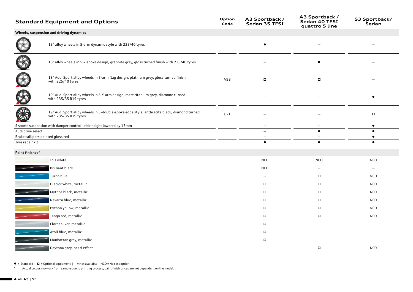|                                                      | <b>Standard Equipment and Options</b>                                                                               | Option<br>Code   | A3 Sportback /<br>Sedan 35 TFSI                      | A3 Sportback /<br>Sedan 40 TFSI<br>quattro S line | S3 Sportback/<br>Sedan          |
|------------------------------------------------------|---------------------------------------------------------------------------------------------------------------------|------------------|------------------------------------------------------|---------------------------------------------------|---------------------------------|
|                                                      | Wheels, suspension and driving dynamics                                                                             |                  |                                                      |                                                   |                                 |
|                                                      | 18" alloy wheels in 5-arm dynamic style with 225/40 tyres                                                           |                  |                                                      |                                                   |                                 |
|                                                      | 18" alloy wheels in 5-Y-spoke design, graphite grey, gloss turned finish with 225/40 tyres                          |                  |                                                      | $\bullet$                                         |                                 |
|                                                      | 18" Audi Sport alloy wheels in 5-arm flag design, platinum grey, gloss turned finish<br>with 225/40 tyres           | V98              | $\blacksquare$                                       | $\blacksquare$                                    |                                 |
|                                                      | 19" Audi Sport alloy wheels in 5-Y-arm design, matt titanium grey, diamond turned<br>with 235/35 R19 tyres          |                  |                                                      |                                                   |                                 |
|                                                      | 19" Audi Sport alloy wheels in 5-double-spoke edge style, anthracite black, diamond turned<br>with 235/35 R19 tyres | C <sub>2</sub> T |                                                      |                                                   | $\Box$                          |
|                                                      | S sports suspension with damper control - ride height lowered by 15mm                                               |                  | $\overline{\phantom{m}}$                             | $\overline{\phantom{m}}$                          | $\bullet$                       |
| Audi drive select                                    |                                                                                                                     |                  | $\overline{\phantom{a}}$<br>$\overline{\phantom{m}}$ | $\bullet$<br>$\overline{\phantom{a}}$             | $\bullet$<br>$\bullet$          |
| Brake callipers painted gloss red<br>Tyre repair kit |                                                                                                                     |                  | $\bullet$                                            | $\bullet$                                         | $\bullet$                       |
|                                                      |                                                                                                                     |                  |                                                      |                                                   |                                 |
| Paint finishes <sup>^</sup>                          |                                                                                                                     |                  |                                                      |                                                   |                                 |
|                                                      | Ibis white                                                                                                          |                  | <b>NCO</b>                                           | <b>NCO</b>                                        | <b>NCO</b>                      |
|                                                      | Brilliant black                                                                                                     |                  | NCO                                                  | $\overline{\phantom{m}}$                          |                                 |
|                                                      | Turbo blue                                                                                                          |                  | $\overline{\phantom{m}}$                             |                                                   | <b>NCO</b>                      |
|                                                      | Glacier white, metallic                                                                                             |                  | $\Box$                                               | $\Box$                                            | <b>NCO</b>                      |
|                                                      | Mythos black, metallic                                                                                              |                  | $\Box$                                               | $\Box$                                            | <b>NCO</b>                      |
|                                                      | Navarra blue, metallic                                                                                              |                  | $\blacksquare$                                       | $\Box$                                            | <b>NCO</b>                      |
|                                                      | Python yellow, metallic                                                                                             |                  | $\Box$                                               | $\Box$                                            | <b>NCO</b>                      |
|                                                      | Tango red, metallic                                                                                                 |                  | $\blacksquare$                                       | $\Box$                                            | <b>NCO</b>                      |
|                                                      | Floret silver, metallic                                                                                             |                  | $\blacksquare$                                       | $\overline{\phantom{m}}$                          | $\overline{\phantom{m}}$        |
|                                                      | Atoll blue, metallic                                                                                                |                  | o                                                    | $\overline{\phantom{m}}$                          | $\overbrace{\phantom{1232211}}$ |
|                                                      | Manhattan grey, metallic                                                                                            |                  | $\Box$                                               | $\overline{\phantom{m}}$                          |                                 |
|                                                      | Daytona grey, pearl effect                                                                                          |                  | $\overline{\phantom{0}}$                             | o                                                 | <b>NCO</b>                      |
|                                                      |                                                                                                                     |                  |                                                      |                                                   |                                 |

 $\bullet$  = Standard  $|$   $\Box$  = Optional equipment  $|$  - = Not available  $|$  NCO = No cost option

^ Actual colour may vary from sample due to printing process, paint finish prices are not dependent on the model.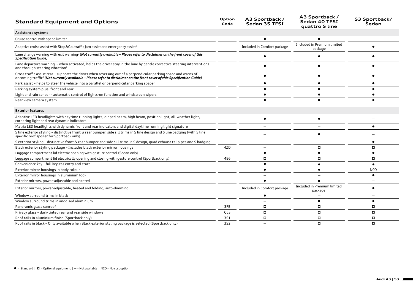| <b>Standard Equipment and Options</b>                                                                                                                                                                                                                   | Option<br>Code | A3 Sportback /<br>Sedan 35 TFSI | A3 Sportback /<br>Sedan 40 TFSI<br>quattro S line | S3 Sportback/<br>Sedan |
|---------------------------------------------------------------------------------------------------------------------------------------------------------------------------------------------------------------------------------------------------------|----------------|---------------------------------|---------------------------------------------------|------------------------|
| Assistance systems                                                                                                                                                                                                                                      |                |                                 |                                                   |                        |
| Cruise control with speed limiter                                                                                                                                                                                                                       |                |                                 |                                                   |                        |
| Adaptive cruise assist with Stop&Go, traffic jam assist and emergency assist <sup>2</sup>                                                                                                                                                               |                | Included in Comfort package     | Included in Premium limited<br>package            |                        |
| Lane change warning with exit warning <sup>2</sup> (Not currently available - Please refer to disclaimer on the front cover of this<br><b>Specification Guide)</b>                                                                                      |                |                                 |                                                   |                        |
| Lane departure warning - when activated, helps the driver stay in the lane by gentle corrective steering interventions<br>and through steering vibration <sup>2</sup>                                                                                   |                |                                 |                                                   |                        |
| Cross traffic assist rear - supports the driver when reversing out of a perpendicular parking space and warns of<br>oncoming traffic <sup>2</sup> (Not currently available - Please refer to disclaimer on the front cover of this Specification Guide) |                |                                 |                                                   |                        |
| Park assist - helps to steer the vehicle into a parallel or perpendicular parking space <sup>2</sup>                                                                                                                                                    |                |                                 |                                                   |                        |
| Parking system plus, front and rear                                                                                                                                                                                                                     |                |                                 |                                                   |                        |
| Light and rain sensor - automatic control of lights-on function and windscreen wipers                                                                                                                                                                   |                |                                 |                                                   |                        |
| Rear view camera system                                                                                                                                                                                                                                 |                |                                 |                                                   |                        |
| <b>Exterior features</b>                                                                                                                                                                                                                                |                |                                 |                                                   |                        |
| Adaptive LED headlights with daytime running lights, dipped beam, high beam, position light, all-weather light,<br>cornering light and rear dynamic indicators                                                                                          |                | $\bullet$                       | $\bullet$                                         |                        |
| Matrix LED headlights with dynamic front and rear indicators and digital daytime running light signature                                                                                                                                                |                |                                 |                                                   |                        |
| S line exterior styling - distinctive front & rear bumper, side sill trims in S line design and S line badging (with S line<br>specific roof spoiler for Sportback only)                                                                                |                |                                 |                                                   |                        |
| S exterior styling - distinctive front & rear bumper and side sill trims in S design, quad exhaust tailpipes and S badging                                                                                                                              |                |                                 |                                                   |                        |
| Black exterior styling package - Includes black exterior mirror housings                                                                                                                                                                                | 4ZD            |                                 | ۰                                                 | о                      |
| Luggage compartment lid electric opening with gesture control (Sedan only)                                                                                                                                                                              |                |                                 |                                                   |                        |
| Luggage compartment lid electrically opening and closing with gesture control (Sportback only)                                                                                                                                                          | 4E6            | о                               |                                                   | о                      |
| Convenience key - full keyless entry and start                                                                                                                                                                                                          |                |                                 |                                                   |                        |
| Exterior mirror housings in body colour                                                                                                                                                                                                                 |                |                                 |                                                   | <b>NCO</b>             |
| Exterior mirror housings in aluminium look                                                                                                                                                                                                              |                |                                 |                                                   |                        |
| Exterior mirrors, power-adjustable and heated                                                                                                                                                                                                           |                |                                 |                                                   |                        |
| Exterior mirrors, power-adjustable, heated and folding, auto-dimming                                                                                                                                                                                    |                | Included in Comfort package     | Included in Premium limited<br>package            |                        |
| Window surround trims in black                                                                                                                                                                                                                          |                |                                 |                                                   |                        |
| Window surround trims in anodised aluminium                                                                                                                                                                                                             |                |                                 |                                                   | $\bullet$              |
| Panoramic glass sunroof                                                                                                                                                                                                                                 | 3FB            | o                               |                                                   | о                      |
| Privacy glass - dark-tinted rear and rear side windows                                                                                                                                                                                                  | QL5            | $\Box$                          | о                                                 | о                      |
| Roof rails in aluminium finish (Sportback only)                                                                                                                                                                                                         | 351            | п                               | о                                                 | о                      |
| Roof rails in black - Only available when Black exterior styling package is selected (Sportback only)                                                                                                                                                   | 3S2            |                                 | о                                                 | о                      |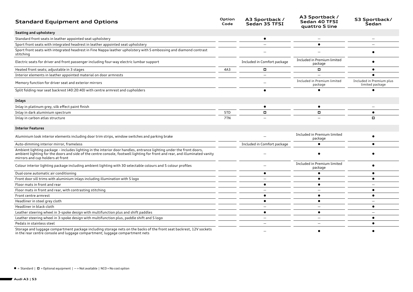| <b>Standard Equipment and Options</b>                                                                                                                                                                                                                                                  | Option<br>Code | A3 Sportback /<br>Sedan 35 TFSI | A3 Sportback /<br>Sedan 40 TFSI<br>quattro S line | S3 Sportback/<br>Sedan                      |
|----------------------------------------------------------------------------------------------------------------------------------------------------------------------------------------------------------------------------------------------------------------------------------------|----------------|---------------------------------|---------------------------------------------------|---------------------------------------------|
| Seating and upholstery                                                                                                                                                                                                                                                                 |                |                                 |                                                   |                                             |
| Standard front seats in leather appointed seat upholstery                                                                                                                                                                                                                              |                |                                 |                                                   |                                             |
| Sport front seats with integrated headrest in leather appointed seat upholstery                                                                                                                                                                                                        |                |                                 |                                                   |                                             |
| Sport front seats with integrated headrest in Fine Nappa leather upholstery with S embossing and diamond contrast<br>stitching                                                                                                                                                         |                |                                 |                                                   |                                             |
| Electric seats for driver and front passenger including four-way electric lumbar support                                                                                                                                                                                               |                | Included in Comfort package     | Included in Premium limited<br>package            |                                             |
| Heated front seats; adjustable in 3 stages                                                                                                                                                                                                                                             | 4A3            | $\Box$                          | о                                                 |                                             |
| Interior elements in leather appointed material on door armrests                                                                                                                                                                                                                       |                |                                 |                                                   |                                             |
| Memory function for driver seat and exterior mirrors                                                                                                                                                                                                                                   |                |                                 | Included in Premium limited<br>package            | Included in Premium plus<br>limited package |
| Split folding rear seat backrest (40:20:40) with centre armrest and cupholders                                                                                                                                                                                                         |                |                                 |                                                   |                                             |
| Inlays                                                                                                                                                                                                                                                                                 |                |                                 |                                                   |                                             |
| Inlay in platinum grey, silk effect paint finish                                                                                                                                                                                                                                       |                |                                 | ٠                                                 |                                             |
| Inlay in dark aluminium spectrum                                                                                                                                                                                                                                                       | 5TD            | о                               | о                                                 |                                             |
| Inlay in carbon atlas structure                                                                                                                                                                                                                                                        | 7TN            |                                 |                                                   | о                                           |
| <b>Interior Features</b>                                                                                                                                                                                                                                                               |                |                                 |                                                   |                                             |
| Aluminium look interior elements including door trim strips, window switches and parking brake                                                                                                                                                                                         |                |                                 | Included in Premium limited<br>package            |                                             |
| Auto-dimming interior mirror, frameless                                                                                                                                                                                                                                                |                | Included in Comfort package     |                                                   |                                             |
| Ambient lighting package - includes lighting in the interior door handles, entrance lighting under the front doors,<br>ambient lighting for the doors and side of the centre console, footwell lighting for front and rear, and illuminated vanity<br>mirrors and cup holders at front |                |                                 |                                                   |                                             |
| Colour interior lighting package including ambient lighting with 30 selectable colours and 5 colour profiles                                                                                                                                                                           |                |                                 | Included in Premium limited<br>package            |                                             |
| Dual-zone automatic air conditioning                                                                                                                                                                                                                                                   |                |                                 |                                                   |                                             |
| Front door sill trims with aluminium inlays including illumination with S logo                                                                                                                                                                                                         |                |                                 |                                                   |                                             |
| Floor mats in front and rear                                                                                                                                                                                                                                                           |                |                                 | $\bullet$                                         |                                             |
| Floor mats in front and rear, with contrasting stitching                                                                                                                                                                                                                               |                |                                 |                                                   | ٠                                           |
| Front centre armrest                                                                                                                                                                                                                                                                   |                |                                 | $\bullet$                                         |                                             |
| Headliner in steel grey cloth                                                                                                                                                                                                                                                          |                | $\bullet$                       | $\bullet$                                         |                                             |
| Headliner in black cloth                                                                                                                                                                                                                                                               |                |                                 |                                                   | $\bullet$                                   |
| Leather steering wheel in 3-spoke design with multifunction plus and shift paddles                                                                                                                                                                                                     |                | $\bullet$                       | $\bullet$                                         |                                             |
| Leather steering wheel in 3-spoke design with multifunction plus, paddle shift and S logo                                                                                                                                                                                              |                | $\overline{\phantom{0}}$        |                                                   |                                             |
| Pedals in stainless steel                                                                                                                                                                                                                                                              |                |                                 |                                                   |                                             |
| Storage and luggage compartment package including storage nets on the backs of the front seat backrest, 12V sockets<br>in the rear centre console and luggage compartment; luggage compartment nets                                                                                    |                |                                 |                                                   |                                             |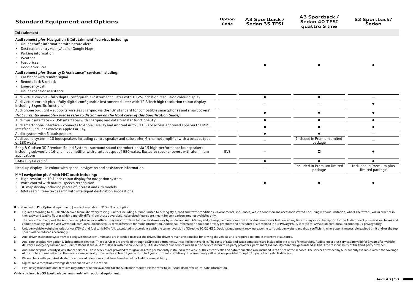| <b>Standard Equipment and Options</b>                                                                                                                                                                                                                                                                       | Option<br>Code | A3 Sportback /<br>Sedan 35 TFSI | A3 Sportback /<br>Sedan 40 TFSI<br>quattro S line | S3 Sportback/<br>Sedan                      |
|-------------------------------------------------------------------------------------------------------------------------------------------------------------------------------------------------------------------------------------------------------------------------------------------------------------|----------------|---------------------------------|---------------------------------------------------|---------------------------------------------|
| Infotainment                                                                                                                                                                                                                                                                                                |                |                                 |                                                   |                                             |
| Audi connect <i>plus</i> Navigation & Infotainment <sup>+3</sup> services including:<br>• Online traffic information with hazard alert<br>▶ Destination entry via myAudi or Google Maps<br>$\blacktriangleright$ Parking information<br>• Weather<br>$\blacktriangleright$ Fuel prices<br>• Google Services |                |                                 |                                                   |                                             |
| Audi connect <i>plus</i> Security & Assistance <sup>14</sup> services including:<br>► Car finder with remote signal<br>▶ Remote lock & unlock<br>$\blacktriangleright$ Emergency call<br>• Online roadside assistance                                                                                       |                |                                 |                                                   |                                             |
| Audi virtual cockpit - fully digital configurable instrument cluster with 10.25-inch high resolution colour display                                                                                                                                                                                         |                | $\bullet$                       |                                                   |                                             |
| Audi virtual cockpit plus - fully digital configurable instrument cluster with 12.3-inch high resolution colour display<br>including S specific functions                                                                                                                                                   |                |                                 |                                                   |                                             |
| Audi phone box light - supports wireless charging via the "Qi" standard for compatible smartphones and smart covers <sup>5</sup><br>(Not currently available - Please refer to disclaimer on the front cover of this Specification Guide)                                                                   |                |                                 |                                                   |                                             |
| Audi music interface - 2 USB interfaces with charging and data transfer functionality <sup>5</sup>                                                                                                                                                                                                          |                | $\bullet$                       |                                                   | $\bullet$                                   |
| Audi smartphone interface - connects to Apple CarPlay and Android Auto via USB to access approved apps via the MMI<br>interface <sup>5</sup> ; includes wireless Apple CarPlay                                                                                                                              |                |                                 |                                                   | ٠                                           |
| Audio system with 6 loudspeakers                                                                                                                                                                                                                                                                            |                |                                 |                                                   |                                             |
| Audi sound system - 10 loudspeakers including centre speaker and subwoofer, 6-channel amplifier with a total output<br>of 180 watts                                                                                                                                                                         |                |                                 | Included in Premium limited<br>package            |                                             |
| Bang & Olufsen 3D Premium Sound System - surround sound reproduction via 15 high-performance loudspeakers<br>including subwoofer; 16-channel amplifier with a total output of 680 watts. Exclusive speaker covers with aluminium<br>applications                                                            | 9VS            |                                 | ▫                                                 |                                             |
| DAB+ Digital radio <sup>6</sup>                                                                                                                                                                                                                                                                             |                |                                 |                                                   |                                             |
| Head-up display - in colour with speed, navigation and assistance information                                                                                                                                                                                                                               |                |                                 | Included in Premium limited<br>package            | Included in Premium plus<br>limited package |
| MMI navigation plus <sup>7</sup> with MMI touch including:<br>High-resolution 10.1 inch colour display for navigation system                                                                                                                                                                                |                |                                 |                                                   |                                             |

• Voice control with natural speech recognition

• 3D map display including places of interest and city models

• MMI search: free-text search with intelligent destination suggestions

## $\bullet$  = Standard  $\mid$   $\Box$  = Optional equipment  $\mid$   $-$  = Not available  $\mid$  NCO = No cost option

- Figures according to ADR 81/02 derived from laboratory testing. Factors including but not limited to driving style, road and traffic conditions, environmental influences, vehicle condition and accessories fitted including the real world lead to figures which generally differ from those advertised. Advertised figures are meant for comparison amongst vehicles only.
- # The content and scope of the Audi connect plus services offered may vary from time to time. Features vary by model and Audi AG may add, change, replace or remove individual services or features at any time during your su conditions apply, please visit www.audi.com.au/audiconnectplus-termsofservice for more information. Additional Information about our privacy practices and procedures is contained in our Privacy Policy located at: www.audi.
- 1 Unladen vehicle weight includes driver (75kg) and fuel tank 90% full, calculated in accordance with the current version of Directive 92/21/EEC. Optional equipment may increase the car's unladen weight and drag coefficien speed will be reduced accordingly.
- **2** Audi driver assistance systems work only within system limits and are intended to assist the driver. The driver remains responsible for driving the vehicle and is required to remain attentive at all times.
- 3 Audi connect plus Navigation & Infotainment services. These services are provided through a SIM card permanently installed in the vehicle. The costs of calls and data connections are included in the price of the services delivery. Emergency call and Audi Service Request are valid for 10 years after vehicle delivery. If Audi connect plus services are based on services from third-party providers, permanent availability cannot be quaranteed a
- 4 Audi connect plus Security & Assistance services. These services are provided through a SIM card permanently installed in the vehicle. The costs of calls and data connections are included in the price of the services. Th of the mobile phone network. The services are generally provided for at least 1 year and up to 3 years from vehicle delivery. The emergency call service is provided for up to 10 years from vehicle delivery.
- **5** Please check with your Audi dealer for approved telephones that have been tested by Audi for compatibility.
- **6** Digital radio reception coverage dependent on vehicle location.
- **7** MMI navigation functional features may differ or not be available for the Australian market. Please refer to your Audi dealer for up-to-date information.

**Vehicle pictured is a S3 Sportback overseas model with optional equipment.** 

 $\bullet$  later  $\bullet$  later  $\bullet$  later  $\bullet$